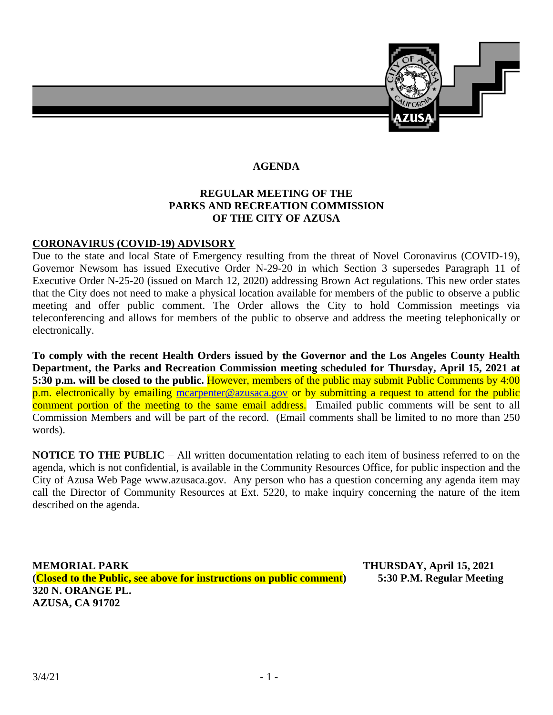

#### **AGENDA**

# **REGULAR MEETING OF THE PARKS AND RECREATION COMMISSION OF THE CITY OF AZUSA**

#### **CORONAVIRUS (COVID-19) ADVISORY**

Due to the state and local State of Emergency resulting from the threat of Novel Coronavirus (COVID-19), Governor Newsom has issued Executive Order N-29-20 in which Section 3 supersedes Paragraph 11 of Executive Order N-25-20 (issued on March 12, 2020) addressing Brown Act regulations. This new order states that the City does not need to make a physical location available for members of the public to observe a public meeting and offer public comment. The Order allows the City to hold Commission meetings via teleconferencing and allows for members of the public to observe and address the meeting telephonically or electronically.

**To comply with the recent Health Orders issued by the Governor and the Los Angeles County Health Department, the Parks and Recreation Commission meeting scheduled for Thursday, April 15, 2021 at 5:30 p.m. will be closed to the public.** However, members of the public may submit Public Comments by 4:00 p.m. electronically by emailing [mcarpenter@azusaca.gov](mailto:mcarpenter@azusaca.gov) or by submitting a request to attend for the public comment portion of the meeting to the same email address. Emailed public comments will be sent to all Commission Members and will be part of the record. (Email comments shall be limited to no more than 250 words).

**NOTICE TO THE PUBLIC** – All written documentation relating to each item of business referred to on the agenda, which is not confidential, is available in the Community Resources Office, for public inspection and the City of Azusa Web Page www.azusaca.gov. Any person who has a question concerning any agenda item may call the Director of Community Resources at Ext. 5220, to make inquiry concerning the nature of the item described on the agenda.

**(Closed to the Public, see above for instructions on public comment) 5:30 P.M. Regular Meeting 320 N. ORANGE PL. AZUSA, CA 91702**

**MEMORIAL PARK THURSDAY, April 15, 2021**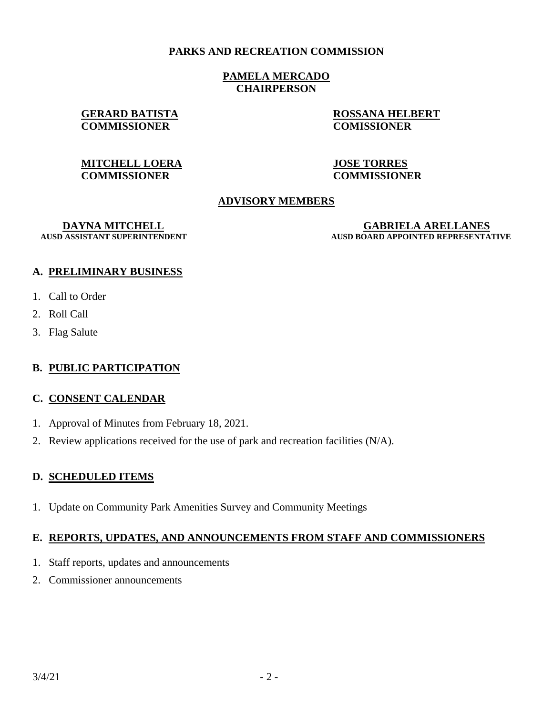#### **PARKS AND RECREATION COMMISSION**

#### **PAMELA MERCADO CHAIRPERSON**

# **COMMISSIONER COMISSIONER**

**GERARD BATISTA ROSSANA HELBERT**

# **MITCHELL LOERA JOSE TORRES COMMISSIONER COMMISSIONER**

# **ADVISORY MEMBERS**

**DAYNA MITCHELL GABRIELA ARELLANES AUSD BOARD APPOINTED REPRESENTATIVE** 

# **A. PRELIMINARY BUSINESS**

- 1. Call to Order
- 2. Roll Call
- 3. Flag Salute

# **B. PUBLIC PARTICIPATION**

#### **C. CONSENT CALENDAR**

- 1. Approval of Minutes from February 18, 2021.
- 2. Review applications received for the use of park and recreation facilities (N/A).

# **D. SCHEDULED ITEMS**

1. Update on Community Park Amenities Survey and Community Meetings

#### **E. REPORTS, UPDATES, AND ANNOUNCEMENTS FROM STAFF AND COMMISSIONERS**

- 1. Staff reports, updates and announcements
- 2. Commissioner announcements